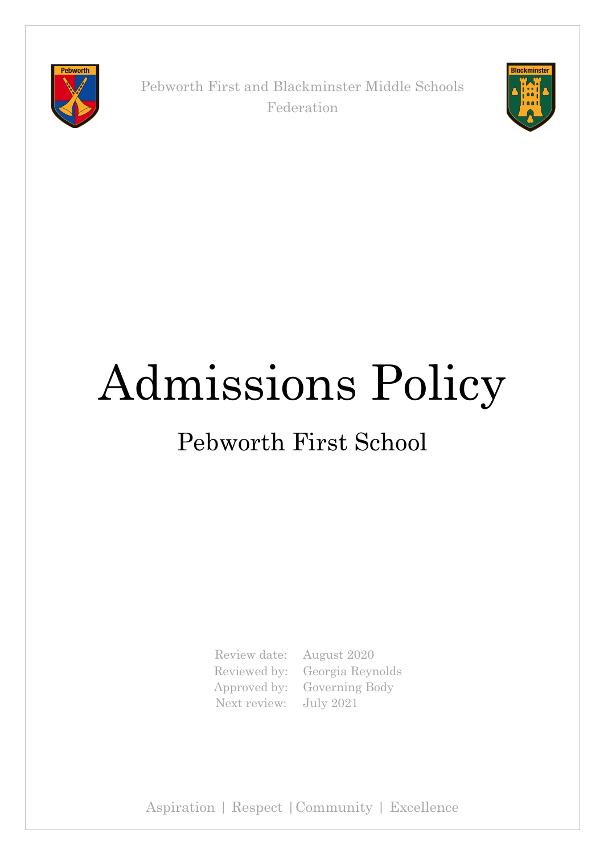

Pebworth First and Blackminster Middle Schools Federation



# Admissions Policy

## Pebworth First School

Review date: August 2020 Next review: July 2021

Reviewed by: Georgia Reynolds Approved by: Governing Body

Aspiration | Respect |Community | Excellence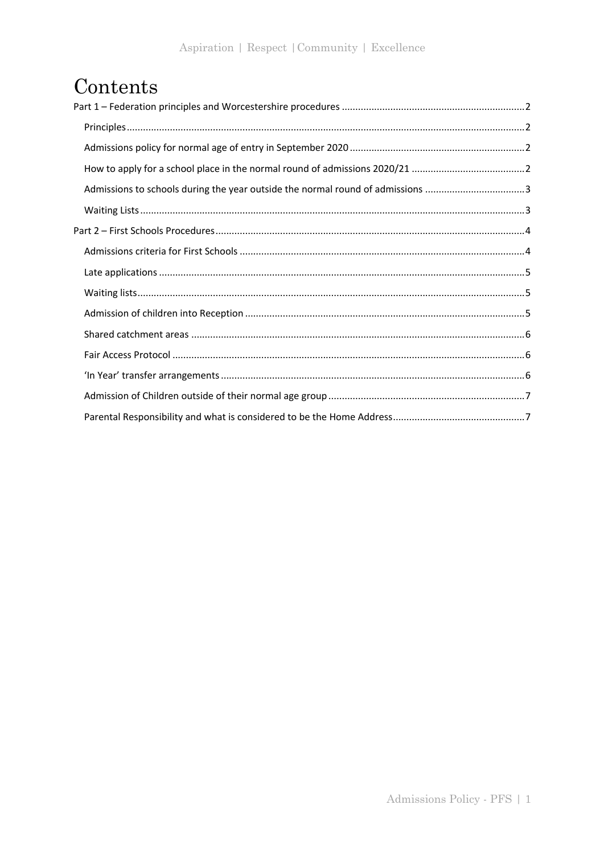## Contents

| Admissions to schools during the year outside the normal round of admissions 3 |
|--------------------------------------------------------------------------------|
|                                                                                |
|                                                                                |
|                                                                                |
|                                                                                |
|                                                                                |
|                                                                                |
|                                                                                |
|                                                                                |
|                                                                                |
|                                                                                |
|                                                                                |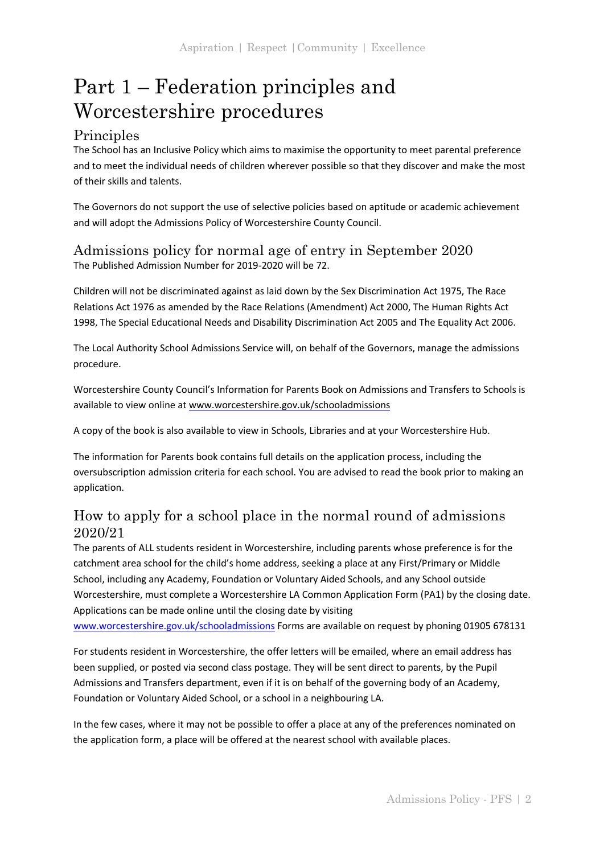## Part 1 – Federation principles and Worcestershire procedures

#### **Principles**

The School has an Inclusive Policy which aims to maximise the opportunity to meet parental preference and to meet the individual needs of children wherever possible so that they discover and make the most of their skills and talents.

The Governors do not support the use of selective policies based on aptitude or academic achievement and will adopt the Admissions Policy of Worcestershire County Council.

Admissions policy for normal age of entry in September 2020 The Published Admission Number for 2019-2020 will be 72.

Children will not be discriminated against as laid down by the Sex Discrimination Act 1975, The Race Relations Act 1976 as amended by the Race Relations (Amendment) Act 2000, The Human Rights Act 1998, The Special Educational Needs and Disability Discrimination Act 2005 and The Equality Act 2006.

The Local Authority School Admissions Service will, on behalf of the Governors, manage the admissions procedure.

Worcestershire County Council's Information for Parents Book on Admissions and Transfers to Schools is available to view online at www.worcestershire.gov.uk/schooladmissions

A copy of the book is also available to view in Schools, Libraries and at your Worcestershire Hub.

The information for Parents book contains full details on the application process, including the oversubscription admission criteria for each school. You are advised to read the book prior to making an application.

#### How to apply for a school place in the normal round of admissions 2020/21

The parents of ALL students resident in Worcestershire, including parents whose preference is for the catchment area school for the child's home address, seeking a place at any First/Primary or Middle School, including any Academy, Foundation or Voluntary Aided Schools, and any School outside Worcestershire, must complete a Worcestershire LA Common Application Form (PA1) by the closing date. Applications can be made online until the closing date by visiting

www.worcestershire.gov.uk/schooladmissions Forms are available on request by phoning 01905 678131

For students resident in Worcestershire, the offer letters will be emailed, where an email address has been supplied, or posted via second class postage. They will be sent direct to parents, by the Pupil Admissions and Transfers department, even if it is on behalf of the governing body of an Academy, Foundation or Voluntary Aided School, or a school in a neighbouring LA.

In the few cases, where it may not be possible to offer a place at any of the preferences nominated on the application form, a place will be offered at the nearest school with available places.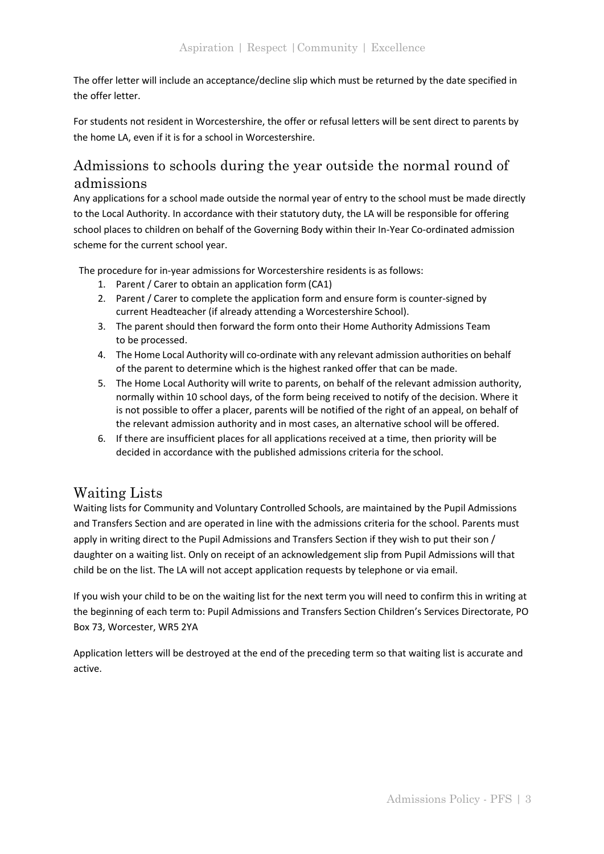The offer letter will include an acceptance/decline slip which must be returned by the date specified in the offer letter.

For students not resident in Worcestershire, the offer or refusal letters will be sent direct to parents by the home LA, even if it is for a school in Worcestershire.

#### Admissions to schools during the year outside the normal round of admissions

Any applications for a school made outside the normal year of entry to the school must be made directly to the Local Authority. In accordance with their statutory duty, the LA will be responsible for offering school places to children on behalf of the Governing Body within their In-Year Co-ordinated admission scheme for the current school year.

The procedure for in-year admissions for Worcestershire residents is as follows:

- 1. Parent / Carer to obtain an application form (CA1)
- 2. Parent / Carer to complete the application form and ensure form is counter-signed by current Headteacher (if already attending a Worcestershire School).
- 3. The parent should then forward the form onto their Home Authority Admissions Team to be processed.
- 4. The Home Local Authority will co-ordinate with any relevant admission authorities on behalf of the parent to determine which is the highest ranked offer that can be made.
- 5. The Home Local Authority will write to parents, on behalf of the relevant admission authority, normally within 10 school days, of the form being received to notify of the decision. Where it is not possible to offer a placer, parents will be notified of the right of an appeal, on behalf of the relevant admission authority and in most cases, an alternative school will be offered.
- 6. If there are insufficient places for all applications received at a time, then priority will be decided in accordance with the published admissions criteria for the school.

#### Waiting Lists

Waiting lists for Community and Voluntary Controlled Schools, are maintained by the Pupil Admissions and Transfers Section and are operated in line with the admissions criteria for the school. Parents must apply in writing direct to the Pupil Admissions and Transfers Section if they wish to put their son / daughter on a waiting list. Only on receipt of an acknowledgement slip from Pupil Admissions will that child be on the list. The LA will not accept application requests by telephone or via email.

If you wish your child to be on the waiting list for the next term you will need to confirm this in writing at the beginning of each term to: Pupil Admissions and Transfers Section Children's Services Directorate, PO Box 73, Worcester, WR5 2YA

Application letters will be destroyed at the end of the preceding term so that waiting list is accurate and active.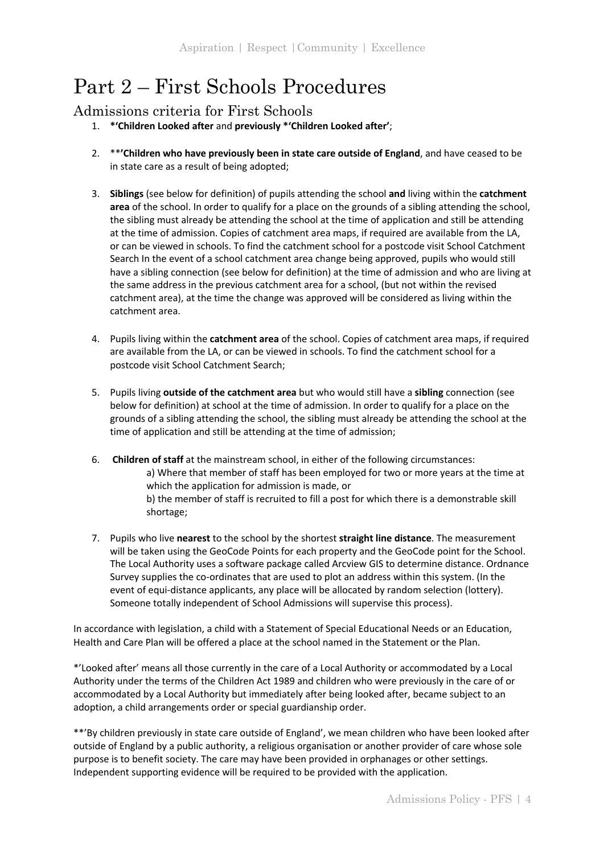### Part 2 – First Schools Procedures

#### Admissions criteria for First Schools

- 1. **\*'Children Looked after** and **previously \*'Children Looked after'**;
- 2. \*\***'Children who have previously been in state care outside of England**, and have ceased to be in state care as a result of being adopted;
- 3. **Siblings** (see below for definition) of pupils attending the school **and** living within the **catchment area** of the school. In order to qualify for a place on the grounds of a sibling attending the school, the sibling must already be attending the school at the time of application and still be attending at the time of admission. Copies of catchment area maps, if required are available from the LA, or can be viewed in schools. To find the catchment school for a postcode visit School Catchment Search In the event of a school catchment area change being approved, pupils who would still have a sibling connection (see below for definition) at the time of admission and who are living at the same address in the previous catchment area for a school, (but not within the revised catchment area), at the time the change was approved will be considered as living within the catchment area.
- 4. Pupils living within the **catchment area** of the school. Copies of catchment area maps, if required are available from the LA, or can be viewed in schools. To find the catchment school for a postcode visit School Catchment Search;
- 5. Pupils living **outside of the catchment area** but who would still have a **sibling** connection (see below for definition) at school at the time of admission. In order to qualify for a place on the grounds of a sibling attending the school, the sibling must already be attending the school at the time of application and still be attending at the time of admission;
- 6. **Children of staff** at the mainstream school, in either of the following circumstances: a) Where that member of staff has been employed for two or more years at the time at which the application for admission is made, or b) the member of staff is recruited to fill a post for which there is a demonstrable skill shortage;
- 7. Pupils who live **nearest** to the school by the shortest **straight line distance**. The measurement will be taken using the GeoCode Points for each property and the GeoCode point for the School. The Local Authority uses a software package called Arcview GIS to determine distance. Ordnance Survey supplies the co-ordinates that are used to plot an address within this system. (In the event of equi-distance applicants, any place will be allocated by random selection (lottery). Someone totally independent of School Admissions will supervise this process).

In accordance with legislation, a child with a Statement of Special Educational Needs or an Education, Health and Care Plan will be offered a place at the school named in the Statement or the Plan.

\*'Looked after' means all those currently in the care of a Local Authority or accommodated by a Local Authority under the terms of the Children Act 1989 and children who were previously in the care of or accommodated by a Local Authority but immediately after being looked after, became subject to an adoption, a child arrangements order or special guardianship order.

\*\*'By children previously in state care outside of England', we mean children who have been looked after outside of England by a public authority, a religious organisation or another provider of care whose sole purpose is to benefit society. The care may have been provided in orphanages or other settings. Independent supporting evidence will be required to be provided with the application.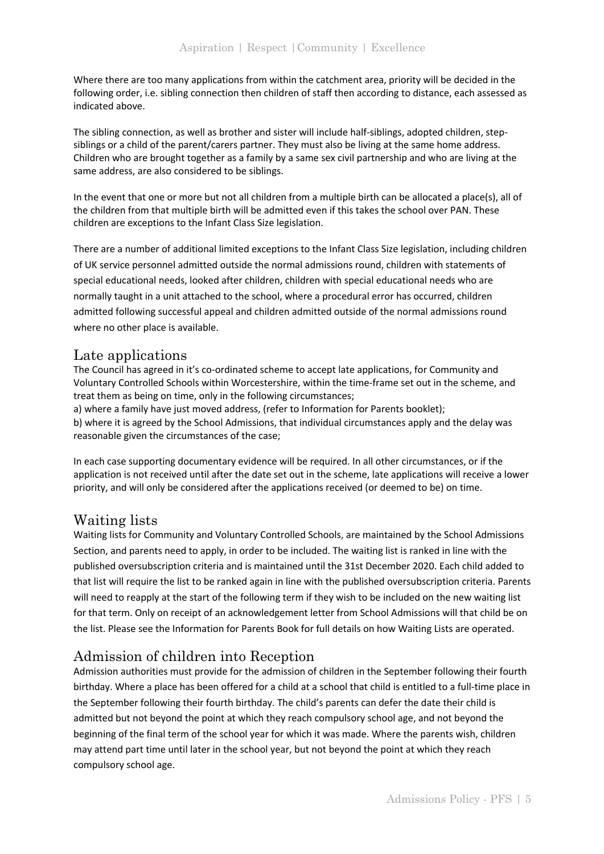Where there are too many applications from within the catchment area, priority will be decided in the following order, i.e. sibling connection then children of staff then according to distance, each assessed as indicated above.

The sibling connection, as well as brother and sister will include half-siblings, adopted children, stepsiblings or a child of the parent/carers partner. They must also be living at the same home address. Children who are brought together as a family by a same sex civil partnership and who are living at the same address, are also considered to be siblings.

In the event that one or more but not all children from a multiple birth can be allocated a place(s), all of the children from that multiple birth will be admitted even if this takes the school over PAN. These children are exceptions to the Infant Class Size legislation.

There are a number of additional limited exceptions to the Infant Class Size legislation, including children of UK service personnel admitted outside the normal admissions round, children with statements of special educational needs, looked after children, children with special educational needs who are normally taught in a unit attached to the school, where a procedural error has occurred, children admitted following successful appeal and children admitted outside of the normal admissions round where no other place is available.

#### Late applications

The Council has agreed in it's co-ordinated scheme to accept late applications, for Community and Voluntary Controlled Schools within Worcestershire, within the time-frame set out in the scheme, and treat them as being on time, only in the following circumstances;

a) where a family have just moved address, (refer to Information for Parents booklet); b) where it is agreed by the School Admissions, that individual circumstances apply and the delay was reasonable given the circumstances of the case;

In each case supporting documentary evidence will be required. In all other circumstances, or if the application is not received until after the date set out in the scheme, late applications will receive a lower priority, and will only be considered after the applications received (or deemed to be) on time.

#### Waiting lists

Waiting lists for Community and Voluntary Controlled Schools, are maintained by the School Admissions Section, and parents need to apply, in order to be included. The waiting list is ranked in line with the published oversubscription criteria and is maintained until the 31st December 2020. Each child added to that list will require the list to be ranked again in line with the published oversubscription criteria. Parents will need to reapply at the start of the following term if they wish to be included on the new waiting list for that term. Only on receipt of an acknowledgement letter from School Admissions will that child be on the list. Please see the Information for Parents Book for full details on how Waiting Lists are operated.

#### Admission of children into Reception

Admission authorities must provide for the admission of children in the September following their fourth birthday. Where a place has been offered for a child at a school that child is entitled to a full-time place in the September following their fourth birthday. The child's parents can defer the date their child is admitted but not beyond the point at which they reach compulsory school age, and not beyond the beginning of the final term of the school year for which it was made. Where the parents wish, children may attend part time until later in the school year, but not beyond the point at which they reach compulsory school age.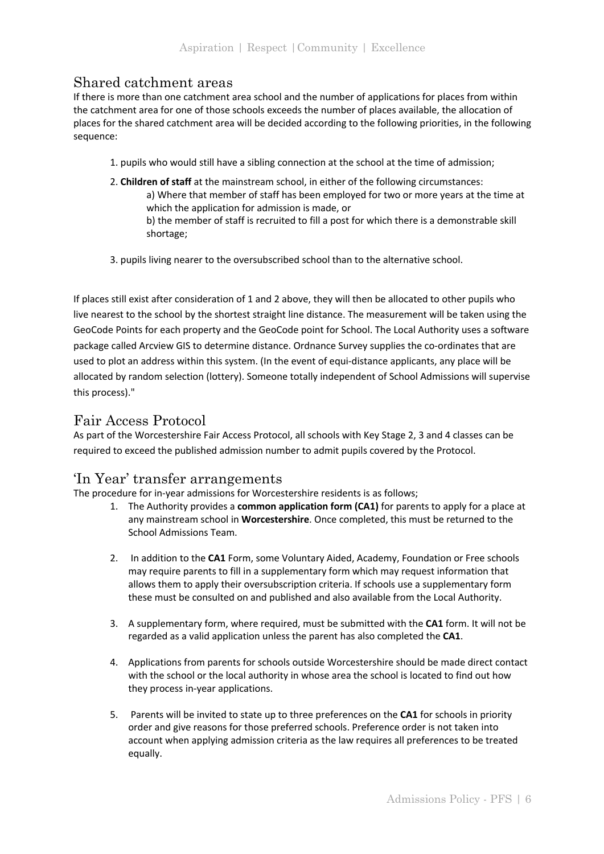#### Shared catchment areas

If there is more than one catchment area school and the number of applications for places from within the catchment area for one of those schools exceeds the number of places available, the allocation of places for the shared catchment area will be decided according to the following priorities, in the following sequence:

- 1. pupils who would still have a sibling connection at the school at the time of admission;
- 2. **Children of staff** at the mainstream school, in either of the following circumstances: a) Where that member of staff has been employed for two or more years at the time at which the application for admission is made, or b) the member of staff is recruited to fill a post for which there is a demonstrable skill shortage;
- 3. pupils living nearer to the oversubscribed school than to the alternative school.

If places still exist after consideration of 1 and 2 above, they will then be allocated to other pupils who live nearest to the school by the shortest straight line distance. The measurement will be taken using the GeoCode Points for each property and the GeoCode point for School. The Local Authority uses a software package called Arcview GIS to determine distance. Ordnance Survey supplies the co-ordinates that are used to plot an address within this system. (In the event of equi-distance applicants, any place will be allocated by random selection (lottery). Someone totally independent of School Admissions will supervise this process)."

#### Fair Access Protocol

As part of the Worcestershire Fair Access Protocol, all schools with Key Stage 2, 3 and 4 classes can be required to exceed the published admission number to admit pupils covered by the Protocol.

#### 'In Year' transfer arrangements

The procedure for in-year admissions for Worcestershire residents is as follows;

- 1. The Authority provides a **common application form (CA1)** for parents to apply for a place at any mainstream school in **Worcestershire**. Once completed, this must be returned to the School Admissions Team.
- 2. In addition to the **CA1** Form, some Voluntary Aided, Academy, Foundation or Free schools may require parents to fill in a supplementary form which may request information that allows them to apply their oversubscription criteria. If schools use a supplementary form these must be consulted on and published and also available from the Local Authority.
- 3. A supplementary form, where required, must be submitted with the **CA1** form. It will not be regarded as a valid application unless the parent has also completed the **CA1**.
- 4. Applications from parents for schools outside Worcestershire should be made direct contact with the school or the local authority in whose area the school is located to find out how they process in-year applications.
- 5. Parents will be invited to state up to three preferences on the **CA1** for schools in priority order and give reasons for those preferred schools. Preference order is not taken into account when applying admission criteria as the law requires all preferences to be treated equally.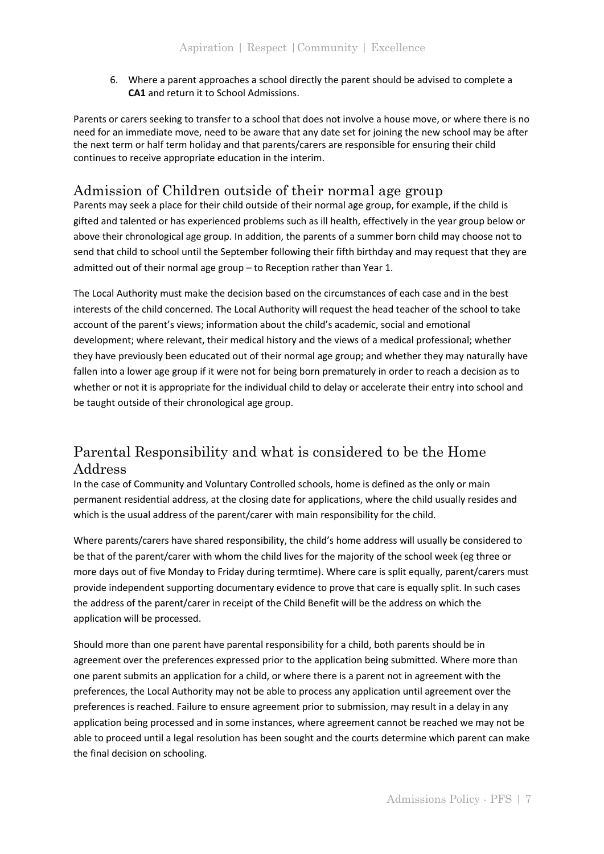6. Where a parent approaches a school directly the parent should be advised to complete a **CA1** and return it to School Admissions.

Parents or carers seeking to transfer to a school that does not involve a house move, or where there is no need for an immediate move, need to be aware that any date set for joining the new school may be after the next term or half term holiday and that parents/carers are responsible for ensuring their child continues to receive appropriate education in the interim.

#### Admission of Children outside of their normal age group

Parents may seek a place for their child outside of their normal age group, for example, if the child is gifted and talented or has experienced problems such as ill health, effectively in the year group below or above their chronological age group. In addition, the parents of a summer born child may choose not to send that child to school until the September following their fifth birthday and may request that they are admitted out of their normal age group – to Reception rather than Year 1.

The Local Authority must make the decision based on the circumstances of each case and in the best interests of the child concerned. The Local Authority will request the head teacher of the school to take account of the parent's views; information about the child's academic, social and emotional development; where relevant, their medical history and the views of a medical professional; whether they have previously been educated out of their normal age group; and whether they may naturally have fallen into a lower age group if it were not for being born prematurely in order to reach a decision as to whether or not it is appropriate for the individual child to delay or accelerate their entry into school and be taught outside of their chronological age group.

#### Parental Responsibility and what is considered to be the Home Address

In the case of Community and Voluntary Controlled schools, home is defined as the only or main permanent residential address, at the closing date for applications, where the child usually resides and which is the usual address of the parent/carer with main responsibility for the child.

Where parents/carers have shared responsibility, the child's home address will usually be considered to be that of the parent/carer with whom the child lives for the majority of the school week (eg three or more days out of five Monday to Friday during termtime). Where care is split equally, parent/carers must provide independent supporting documentary evidence to prove that care is equally split. In such cases the address of the parent/carer in receipt of the Child Benefit will be the address on which the application will be processed.

Should more than one parent have parental responsibility for a child, both parents should be in agreement over the preferences expressed prior to the application being submitted. Where more than one parent submits an application for a child, or where there is a parent not in agreement with the preferences, the Local Authority may not be able to process any application until agreement over the preferences is reached. Failure to ensure agreement prior to submission, may result in a delay in any application being processed and in some instances, where agreement cannot be reached we may not be able to proceed until a legal resolution has been sought and the courts determine which parent can make the final decision on schooling.